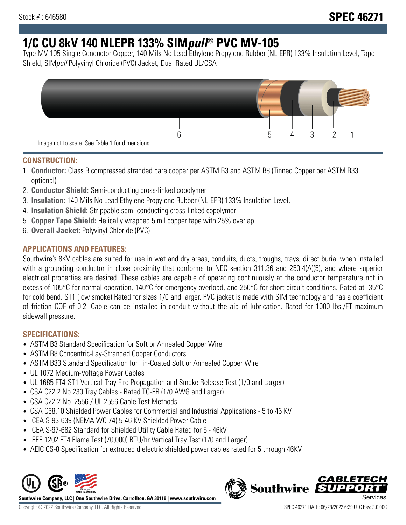# **1/C CU 8kV 140 NLEPR 133% SIMpull® PVC MV-105**

Type MV-105 Single Conductor Copper, 140 Mils No Lead Ethylene Propylene Rubber (NL-EPR) 133% Insulation Level, Tape Shield, SIMpull Polyvinyl Chloride (PVC) Jacket, Dual Rated UL/CSA



#### **CONSTRUCTION:**

- 1. **Conductor:** Class B compressed stranded bare copper per ASTM B3 and ASTM B8 (Tinned Copper per ASTM B33 optional)
- 2. **Conductor Shield:** Semi-conducting cross-linked copolymer
- 3. **Insulation:** 140 Mils No Lead Ethylene Propylene Rubber (NL-EPR) 133% Insulation Level,
- 4. **Insulation Shield:** Strippable semi-conducting cross-linked copolymer
- 5. **Copper Tape Shield:** Helically wrapped 5 mil copper tape with 25% overlap
- 6. **Overall Jacket:** Polyvinyl Chloride (PVC)

## **APPLICATIONS AND FEATURES:**

Southwire's 8KV cables are suited for use in wet and dry areas, conduits, ducts, troughs, trays, direct burial when installed with a grounding conductor in close proximity that conforms to NEC section 311.36 and 250.4(A)(5), and where superior electrical properties are desired. These cables are capable of operating continuously at the conductor temperature not in excess of 105°C for normal operation, 140°C for emergency overload, and 250°C for short circuit conditions. Rated at -35°C for cold bend. ST1 (low smoke) Rated for sizes 1/0 and larger. PVC jacket is made with SIM technology and has a coefficient of friction COF of 0.2. Cable can be installed in conduit without the aid of lubrication. Rated for 1000 lbs./FT maximum sidewall pressure.

## **SPECIFICATIONS:**

- ASTM B3 Standard Specification for Soft or Annealed Copper Wire
- ASTM B8 Concentric-Lay-Stranded Copper Conductors
- ASTM B33 Standard Specification for Tin-Coated Soft or Annealed Copper Wire
- UL 1072 Medium-Voltage Power Cables
- UL 1685 FT4-ST1 Vertical-Tray Fire Propagation and Smoke Release Test (1/0 and Larger)
- CSA C22.2 No.230 Tray Cables Rated TC-ER (1/0 AWG and Larger)
- CSA C22.2 No. 2556 / UL 2556 Cable Test Methods
- CSA C68.10 Shielded Power Cables for Commercial and Industrial Applications 5 to 46 KV
- ICEA S-93-639 (NEMA WC 74) 5-46 KV Shielded Power Cable
- ICEA S-97-682 Standard for Shielded Utility Cable Rated for 5 46kV
- IEEE 1202 FT4 Flame Test (70,000) BTU/hr Vertical Tray Test (1/0 and Larger)
- AEIC CS-8 Specification for extruded dielectric shielded power cables rated for 5 through 46KV



**Southwire Company, LLC | One Southwire Drive, Carrollton, GA 30119 | www.southwire.com**